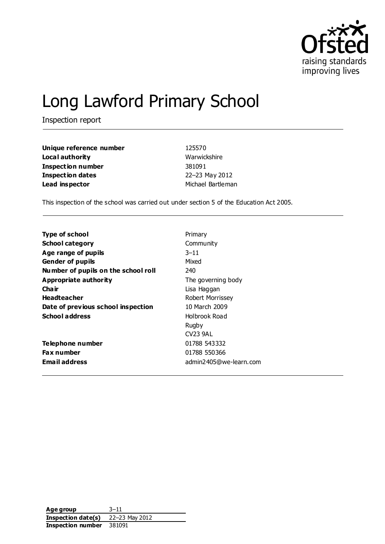

# Long Lawford Primary School

Inspection report

| Unique reference number | 125570            |
|-------------------------|-------------------|
| Local authority         | Warwickshire      |
| Inspection number       | 381091            |
| <b>Inspection dates</b> | 22-23 May 2012    |
| Lead inspector          | Michael Bartleman |

This inspection of the school was carried out under section 5 of the Education Act 2005.

| <b>Type of school</b>               | Primary                 |
|-------------------------------------|-------------------------|
| <b>School category</b>              | Community               |
| Age range of pupils                 | $3 - 11$                |
| <b>Gender of pupils</b>             | Mixed                   |
| Number of pupils on the school roll | 240                     |
| <b>Appropriate authority</b>        | The governing body      |
| Cha ir                              | Lisa Haggan             |
| <b>Headteacher</b>                  | <b>Robert Morrissey</b> |
| Date of previous school inspection  | 10 March 2009           |
| <b>School address</b>               | Holbrook Road           |
|                                     | Rugby                   |
|                                     | <b>CV23 9AL</b>         |
| Telephone number                    | 01788 543332            |
| <b>Fax number</b>                   | 01788 550366            |
| <b>Email address</b>                | admin2405@we-learn.com  |

| Age group          | $3 - 11$       |
|--------------------|----------------|
| Inspection date(s) | 22-23 May 2012 |
| Inspection number  | 381091         |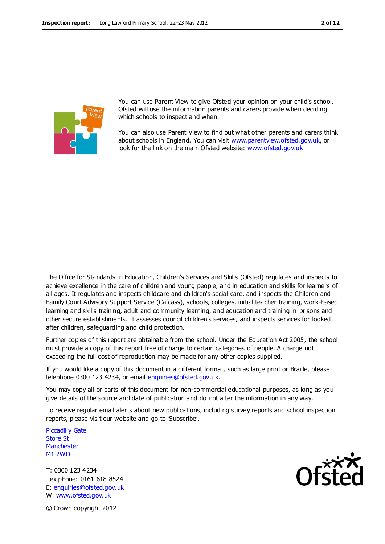

You can use Parent View to give Ofsted your opinion on your child's school. Ofsted will use the information parents and carers provide when deciding which schools to inspect and when.

You can also use Parent View to find out what other parents and carers think about schools in England. You can visit [www.parentview.ofsted.gov.uk,](http://www.parentview.ofsted.gov.uk/) or look for the link on the main Ofsted website: [www.ofsted.gov.uk](http://www.ofsted.gov.uk/)

The Office for Standards in Education, Children's Services and Skills (Ofsted) regulates and inspects to achieve excellence in the care of children and young people, and in education and skills for learners of all ages. It regulates and inspects childcare and children's social care, and inspects the Children and Family Court Advisory Support Service (Cafcass), schools, colleges, initial teacher training, work-based learning and skills training, adult and community learning, and education and training in prisons and other secure establishments. It assesses council children's services, and inspects services for looked after children, safeguarding and child protection.

Further copies of this report are obtainable from the school. Under the Education Act 2005, the school must provide a copy of this report free of charge to certain categories of people. A charge not exceeding the full cost of reproduction may be made for any other copies supplied.

If you would like a copy of this document in a different format, such as large print or Braille, please telephone 0300 123 4234, or email enquiries@ofsted.gov.uk.

You may copy all or parts of this document for non-commercial educational purposes, as long as you give details of the source and date of publication and do not alter the information in any way.

To receive regular email alerts about new publications, including survey reports and school inspection reports, please visit our website and go to 'Subscribe'.

Piccadilly Gate Store St **Manchester** M1 2WD

T: 0300 123 4234 Textphone: 0161 618 8524 E: enquiries@ofsted.gov.uk W: www.ofsted.gov.uk

© Crown copyright 2012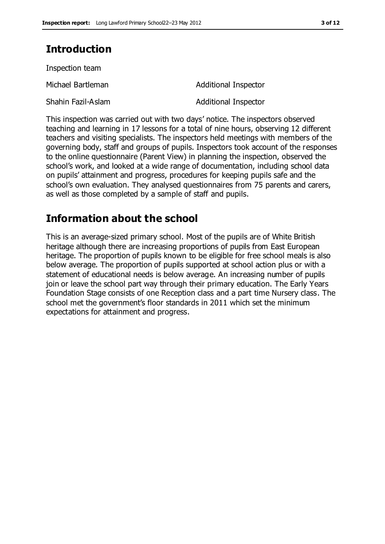## **Introduction**

Inspection team Michael Bartleman **Additional Inspector** Shahin Fazil-Aslam **Additional Inspector** 

This inspection was carried out with two days' notice. The inspectors observed teaching and learning in 17 lessons for a total of nine hours, observing 12 different teachers and visiting specialists. The inspectors held meetings with members of the governing body, staff and groups of pupils. Inspectors took account of the responses to the online questionnaire (Parent View) in planning the inspection, observed the school's work, and looked at a wide range of documentation, including school data on pupils' attainment and progress, procedures for keeping pupils safe and the school's own evaluation. They analysed questionnaires from 75 parents and carers, as well as those completed by a sample of staff and pupils.

## **Information about the school**

This is an average-sized primary school. Most of the pupils are of White British heritage although there are increasing proportions of pupils from East European heritage. The proportion of pupils known to be eligible for free school meals is also below average. The proportion of pupils supported at school action plus or with a statement of educational needs is below average. An increasing number of pupils join or leave the school part way through their primary education. The Early Years Foundation Stage consists of one Reception class and a part time Nursery class. The school met the government's floor standards in 2011 which set the minimum expectations for attainment and progress.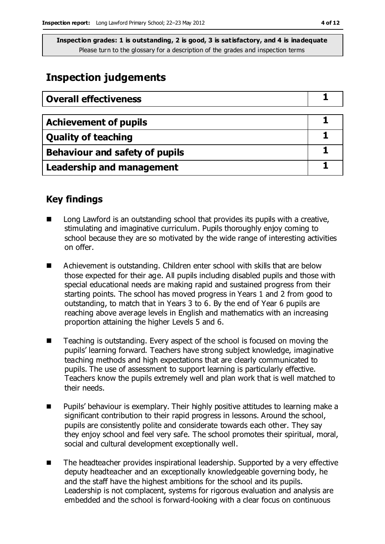## **Inspection judgements**

| <b>Overall effectiveness</b>          |  |
|---------------------------------------|--|
|                                       |  |
| <b>Achievement of pupils</b>          |  |
| <b>Quality of teaching</b>            |  |
| <b>Behaviour and safety of pupils</b> |  |
| <b>Leadership and management</b>      |  |

## **Key findings**

- Long Lawford is an outstanding school that provides its pupils with a creative, stimulating and imaginative curriculum. Pupils thoroughly enjoy coming to school because they are so motivated by the wide range of interesting activities on offer.
- Achievement is outstanding. Children enter school with skills that are below those expected for their age. All pupils including disabled pupils and those with special educational needs are making rapid and sustained progress from their starting points. The school has moved progress in Years 1 and 2 from good to outstanding, to match that in Years 3 to 6. By the end of Year 6 pupils are reaching above average levels in English and mathematics with an increasing proportion attaining the higher Levels 5 and 6.
- Teaching is outstanding. Every aspect of the school is focused on moving the pupils' learning forward. Teachers have strong subject knowledge, imaginative teaching methods and high expectations that are clearly communicated to pupils. The use of assessment to support learning is particularly effective. Teachers know the pupils extremely well and plan work that is well matched to their needs.
- **Pupils'** behaviour is exemplary. Their highly positive attitudes to learning make a significant contribution to their rapid progress in lessons. Around the school, pupils are consistently polite and considerate towards each other. They say they enjoy school and feel very safe. The school promotes their spiritual, moral, social and cultural development exceptionally well.
- The headteacher provides inspirational leadership. Supported by a very effective deputy headteacher and an exceptionally knowledgeable governing body, he and the staff have the highest ambitions for the school and its pupils. Leadership is not complacent, systems for rigorous evaluation and analysis are embedded and the school is forward-looking with a clear focus on continuous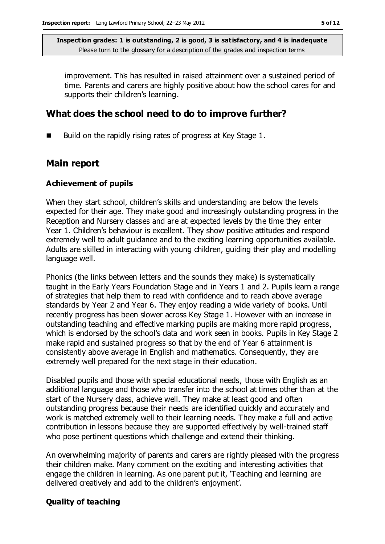improvement. This has resulted in raised attainment over a sustained period of time. Parents and carers are highly positive about how the school cares for and supports their children's learning.

### **What does the school need to do to improve further?**

Build on the rapidly rising rates of progress at Key Stage 1.

### **Main report**

#### **Achievement of pupils**

When they start school, children's skills and understanding are below the levels expected for their age. They make good and increasingly outstanding progress in the Reception and Nursery classes and are at expected levels by the time they enter Year 1. Children's behaviour is excellent. They show positive attitudes and respond extremely well to adult guidance and to the exciting learning opportunities available. Adults are skilled in interacting with young children, guiding their play and modelling language well.

Phonics (the links between letters and the sounds they make) is systematically taught in the Early Years Foundation Stage and in Years 1 and 2. Pupils learn a range of strategies that help them to read with confidence and to reach above average standards by Year 2 and Year 6. They enjoy reading a wide variety of books. Until recently progress has been slower across Key Stage 1. However with an increase in outstanding teaching and effective marking pupils are making more rapid progress, which is endorsed by the school's data and work seen in books. Pupils in Key Stage 2 make rapid and sustained progress so that by the end of Year 6 attainment is consistently above average in English and mathematics. Consequently, they are extremely well prepared for the next stage in their education.

Disabled pupils and those with special educational needs, those with English as an additional language and those who transfer into the school at times other than at the start of the Nursery class, achieve well. They make at least good and often outstanding progress because their needs are identified quickly and accurately and work is matched extremely well to their learning needs. They make a full and active contribution in lessons because they are supported effectively by well-trained staff who pose pertinent questions which challenge and extend their thinking.

An overwhelming majority of parents and carers are rightly pleased with the progress their children make. Many comment on the exciting and interesting activities that engage the children in learning. As one parent put it, 'Teaching and learning are delivered creatively and add to the children's enjoyment'.

#### **Quality of teaching**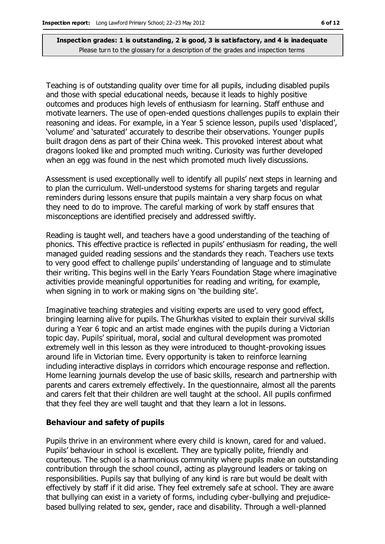Teaching is of outstanding quality over time for all pupils, including disabled pupils and those with special educational needs, because it leads to highly positive outcomes and produces high levels of enthusiasm for learning. Staff enthuse and motivate learners. The use of open-ended questions challenges pupils to explain their reasoning and ideas. For example, in a Year 5 science lesson, pupils used 'displaced', 'volume' and 'saturated' accurately to describe their observations. Younger pupils built dragon dens as part of their China week. This provoked interest about what dragons looked like and prompted much writing. Curiosity was further developed when an egg was found in the nest which promoted much lively discussions.

Assessment is used exceptionally well to identify all pupils' next steps in learning and to plan the curriculum. Well-understood systems for sharing targets and regular reminders during lessons ensure that pupils maintain a very sharp focus on what they need to do to improve. The careful marking of work by staff ensures that misconceptions are identified precisely and addressed swiftly.

Reading is taught well, and teachers have a good understanding of the teaching of phonics. This effective practice is reflected in pupils' enthusiasm for reading, the well managed guided reading sessions and the standards they reach. Teachers use texts to very good effect to challenge pupils' understanding of language and to stimulate their writing. This begins well in the Early Years Foundation Stage where imaginative activities provide meaningful opportunities for reading and writing, for example, when signing in to work or making signs on 'the building site'.

Imaginative teaching strategies and visiting experts are used to very good effect, bringing learning alive for pupils. The Ghurkhas visited to explain their survival skills during a Year 6 topic and an artist made engines with the pupils during a Victorian topic day. Pupils' spiritual, moral, social and cultural development was promoted extremely well in this lesson as they were introduced to thought-provoking issues around life in Victorian time. Every opportunity is taken to reinforce learning including interactive displays in corridors which encourage response and reflection. Home learning journals develop the use of basic skills, research and partnership with parents and carers extremely effectively. In the questionnaire, almost all the parents and carers felt that their children are well taught at the school. All pupils confirmed that they feel they are well taught and that they learn a lot in lessons.

#### **Behaviour and safety of pupils**

Pupils thrive in an environment where every child is known, cared for and valued. Pupils' behaviour in school is excellent. They are typically polite, friendly and courteous. The school is a harmonious community where pupils make an outstanding contribution through the school council, acting as playground leaders or taking on responsibilities. Pupils say that bullying of any kind is rare but would be dealt with effectively by staff if it did arise. They feel extremely safe at school. They are aware that bullying can exist in a variety of forms, including cyber-bullying and prejudicebased bullying related to sex, gender, race and disability. Through a well-planned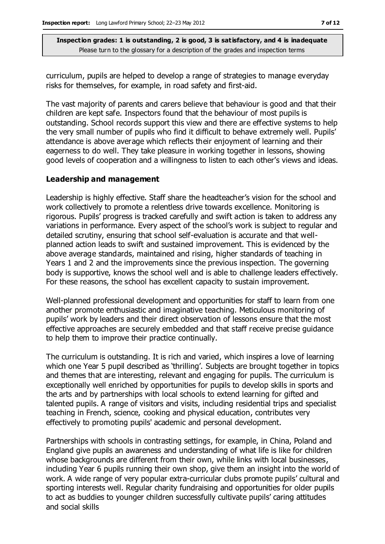curriculum, pupils are helped to develop a range of strategies to manage everyday risks for themselves, for example, in road safety and first-aid.

The vast majority of parents and carers believe that behaviour is good and that their children are kept safe. Inspectors found that the behaviour of most pupils is outstanding. School records support this view and there are effective systems to help the very small number of pupils who find it difficult to behave extremely well. Pupils' attendance is above average which reflects their enjoyment of learning and their eagerness to do well. They take pleasure in working together in lessons, showing good levels of cooperation and a willingness to listen to each other's views and ideas.

#### **Leadership and management**

Leadership is highly effective. Staff share the headteacher's vision for the school and work collectively to promote a relentless drive towards excellence. Monitoring is rigorous. Pupils' progress is tracked carefully and swift action is taken to address any variations in performance. Every aspect of the school's work is subject to regular and detailed scrutiny, ensuring that school self-evaluation is accurate and that wellplanned action leads to swift and sustained improvement. This is evidenced by the above average standards, maintained and rising, higher standards of teaching in Years 1 and 2 and the improvements since the previous inspection. The governing body is supportive, knows the school well and is able to challenge leaders effectively. For these reasons, the school has excellent capacity to sustain improvement.

Well-planned professional development and opportunities for staff to learn from one another promote enthusiastic and imaginative teaching. Meticulous monitoring of pupils' work by leaders and their direct observation of lessons ensure that the most effective approaches are securely embedded and that staff receive precise guidance to help them to improve their practice continually.

The curriculum is outstanding. It is rich and varied, which inspires a love of learning which one Year 5 pupil described as 'thrilling'. Subjects are brought together in topics and themes that are interesting, relevant and engaging for pupils. The curriculum is exceptionally well enriched by opportunities for pupils to develop skills in sports and the arts and by partnerships with local schools to extend learning for gifted and talented pupils. A range of visitors and visits, including residential trips and specialist teaching in French, science, cooking and physical education, contributes very effectively to promoting pupils' academic and personal development.

Partnerships with schools in contrasting settings, for example, in China, Poland and England give pupils an awareness and understanding of what life is like for children whose backgrounds are different from their own, while links with local businesses, including Year 6 pupils running their own shop, give them an insight into the world of work. A wide range of very popular extra-curricular clubs promote pupils' cultural and sporting interests well. Regular charity fundraising and opportunities for older pupils to act as buddies to younger children successfully cultivate pupils' caring attitudes and social skills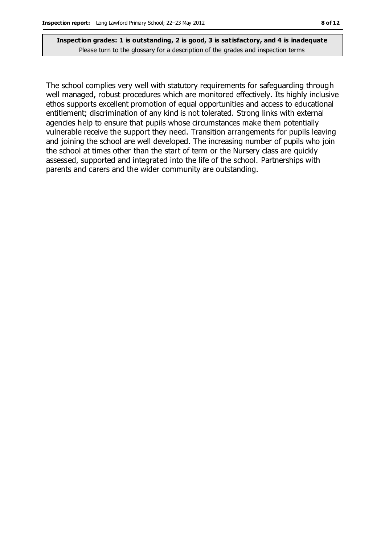The school complies very well with statutory requirements for safeguarding through well managed, robust procedures which are monitored effectively. Its highly inclusive ethos supports excellent promotion of equal opportunities and access to educational entitlement; discrimination of any kind is not tolerated. Strong links with external agencies help to ensure that pupils whose circumstances make them potentially vulnerable receive the support they need. Transition arrangements for pupils leaving and joining the school are well developed. The increasing number of pupils who join the school at times other than the start of term or the Nursery class are quickly assessed, supported and integrated into the life of the school. Partnerships with parents and carers and the wider community are outstanding.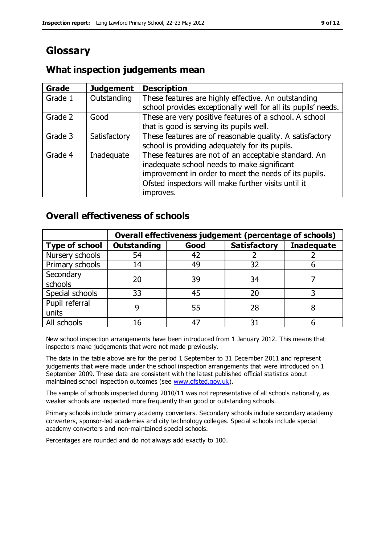## **Glossary**

### **Grade Judgement Description** Grade  $1$  | Outstanding | These features are highly effective. An outstanding school provides exceptionally well for all its pupils' needs. Grade 2 Good These are very positive features of a school. A school that is good is serving its pupils well. Grade 3  $\parallel$  Satisfactory  $\parallel$  These features are of reasonable quality. A satisfactory school is providing adequately for its pupils. Grade 4  $\parallel$  Inadequate  $\parallel$  These features are not of an acceptable standard. An inadequate school needs to make significant improvement in order to meet the needs of its pupils. Ofsted inspectors will make further visits until it improves.

## **What inspection judgements mean**

## **Overall effectiveness of schools**

|                       | Overall effectiveness judgement (percentage of schools) |      |                     |                   |
|-----------------------|---------------------------------------------------------|------|---------------------|-------------------|
| <b>Type of school</b> | <b>Outstanding</b>                                      | Good | <b>Satisfactory</b> | <b>Inadequate</b> |
| Nursery schools       | 54                                                      | 42   |                     |                   |
| Primary schools       | 14                                                      | 49   | 32                  |                   |
| Secondary             | 20                                                      | 39   | 34                  |                   |
| schools               |                                                         |      |                     |                   |
| Special schools       | 33                                                      | 45   | 20                  |                   |
| Pupil referral        |                                                         | 55   | 28                  |                   |
| units                 |                                                         |      |                     |                   |
| All schools           | 16                                                      | 47   | 3٠                  |                   |

New school inspection arrangements have been introduced from 1 January 2012. This means that inspectors make judgements that were not made previously.

The data in the table above are for the period 1 September to 31 December 2011 and represent judgements that were made under the school inspection arrangements that were introduced on 1 September 2009. These data are consistent with the latest published official statistics about maintained school inspection outcomes (see [www.ofsted.gov.uk\)](http://www.ofsted.gov.uk/).

The sample of schools inspected during 2010/11 was not representative of all schools nationally, as weaker schools are inspected more frequently than good or outstanding schools.

Primary schools include primary academy converters. Secondary schools include secondary academy converters, sponsor-led academies and city technology colleges. Special schools include special academy converters and non-maintained special schools.

Percentages are rounded and do not always add exactly to 100.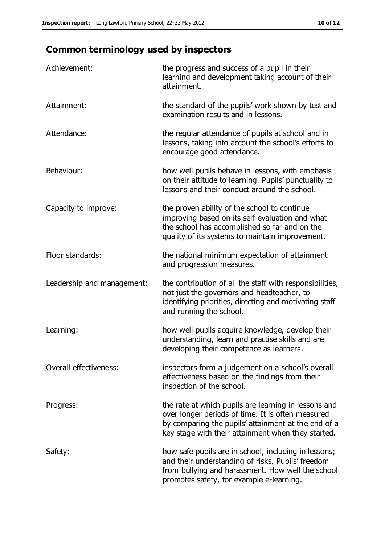## **Common terminology used by inspectors**

| Achievement:                  | the progress and success of a pupil in their<br>learning and development taking account of their<br>attainment.                                                                                                        |
|-------------------------------|------------------------------------------------------------------------------------------------------------------------------------------------------------------------------------------------------------------------|
| Attainment:                   | the standard of the pupils' work shown by test and<br>examination results and in lessons.                                                                                                                              |
| Attendance:                   | the regular attendance of pupils at school and in<br>lessons, taking into account the school's efforts to<br>encourage good attendance.                                                                                |
| Behaviour:                    | how well pupils behave in lessons, with emphasis<br>on their attitude to learning. Pupils' punctuality to<br>lessons and their conduct around the school.                                                              |
| Capacity to improve:          | the proven ability of the school to continue<br>improving based on its self-evaluation and what<br>the school has accomplished so far and on the<br>quality of its systems to maintain improvement.                    |
| Floor standards:              | the national minimum expectation of attainment<br>and progression measures.                                                                                                                                            |
| Leadership and management:    | the contribution of all the staff with responsibilities,<br>not just the governors and headteacher, to<br>identifying priorities, directing and motivating staff<br>and running the school.                            |
| Learning:                     | how well pupils acquire knowledge, develop their<br>understanding, learn and practise skills and are<br>developing their competence as learners.                                                                       |
| <b>Overall effectiveness:</b> | inspectors form a judgement on a school's overall<br>effectiveness based on the findings from their<br>inspection of the school.                                                                                       |
| Progress:                     | the rate at which pupils are learning in lessons and<br>over longer periods of time. It is often measured<br>by comparing the pupils' attainment at the end of a<br>key stage with their attainment when they started. |
| Safety:                       | how safe pupils are in school, including in lessons;<br>and their understanding of risks. Pupils' freedom<br>from bullying and harassment. How well the school<br>promotes safety, for example e-learning.             |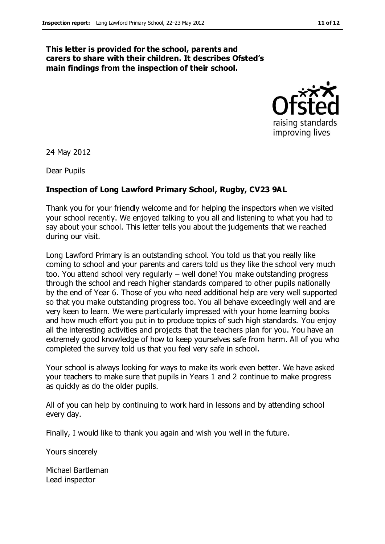#### **This letter is provided for the school, parents and carers to share with their children. It describes Ofsted's main findings from the inspection of their school.**



24 May 2012

Dear Pupils

### **Inspection of Long Lawford Primary School, Rugby, CV23 9AL**

Thank you for your friendly welcome and for helping the inspectors when we visited your school recently. We enjoyed talking to you all and listening to what you had to say about your school. This letter tells you about the judgements that we reached during our visit.

Long Lawford Primary is an outstanding school. You told us that you really like coming to school and your parents and carers told us they like the school very much too. You attend school very regularly – well done! You make outstanding progress through the school and reach higher standards compared to other pupils nationally by the end of Year 6. Those of you who need additional help are very well supported so that you make outstanding progress too. You all behave exceedingly well and are very keen to learn. We were particularly impressed with your home learning books and how much effort you put in to produce topics of such high standards. You enjoy all the interesting activities and projects that the teachers plan for you. You have an extremely good knowledge of how to keep yourselves safe from harm. All of you who completed the survey told us that you feel very safe in school.

Your school is always looking for ways to make its work even better. We have asked your teachers to make sure that pupils in Years 1 and 2 continue to make progress as quickly as do the older pupils.

All of you can help by continuing to work hard in lessons and by attending school every day.

Finally, I would like to thank you again and wish you well in the future.

Yours sincerely

Michael Bartleman Lead inspector